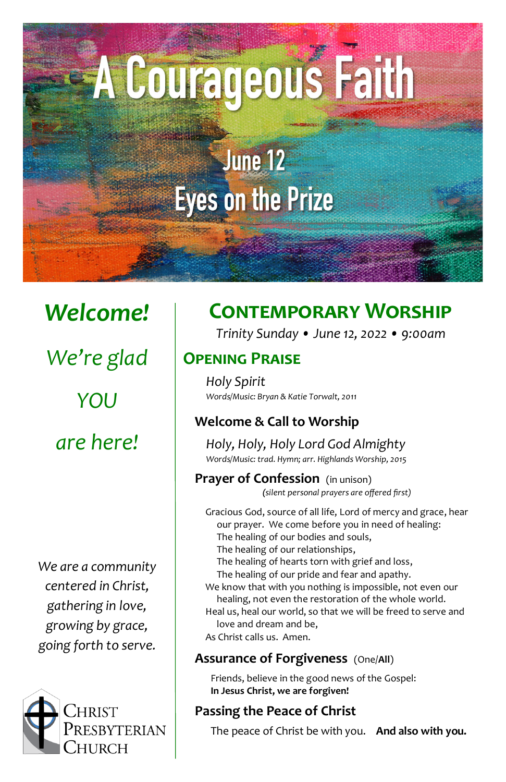# A Courageous Faith

## June 12 **Eyes on the Prize**

*Welcome! We're glad YOU are here!*

*We are a community centered in Christ, gathering in love, growing by grace, going forth to serve.*



### **Contemporary Worship**

*Trinity Sunday • June 12, 2022 • 9:00am*

#### **Opening Praise**

*Holy Spirit Words/Music: Bryan & Katie Torwalt, 2011*

#### **Welcome & Call to Worship**

*Holy, Holy, Holy Lord God Almighty Words/Music: trad. Hymn; arr. Highlands Worship, 2015*

**Prayer of Confession** (in unison) *(silent personal prayers are offered first)*

Gracious God, source of all life, Lord of mercy and grace, hear our prayer. We come before you in need of healing: The healing of our bodies and souls, The healing of our relationships, The healing of hearts torn with grief and loss, The healing of our pride and fear and apathy.

We know that with you nothing is impossible, not even our healing, not even the restoration of the whole world.

- Heal us, heal our world, so that we will be freed to serve and love and dream and be,
- As Christ calls us. Amen.

#### **Assurance of Forgiveness** (One/**All**)

Friends, believe in the good news of the Gospel: **In Jesus Christ, we are forgiven!**

#### **Passing the Peace of Christ**

The peace of Christ be with you. **And also with you.**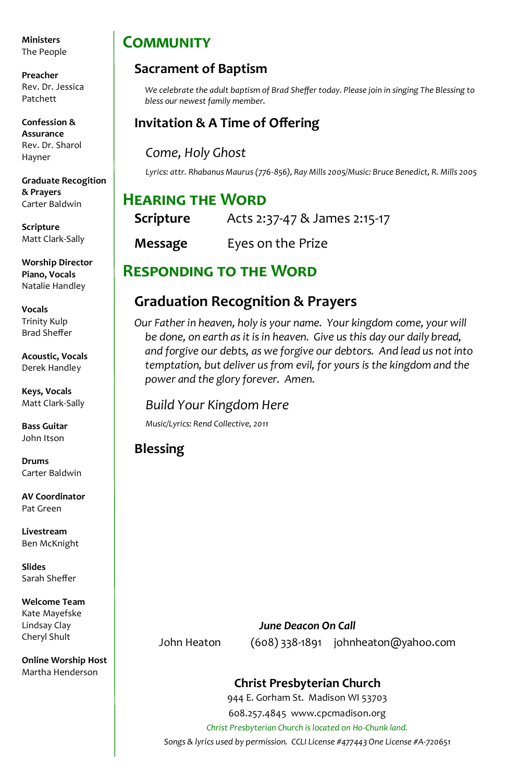**Ministers** The People

**Preacher** Rev. Dr. Jessica Patchett

**Confession & Assurance**  Rev. Dr. Sharol Hayner

**Graduate Recogition & Prayers**  Carter Baldwin

**Scripture** Matt Clark-Sally

**Worship Director Piano, Vocals** Natalie Handley

**Vocals** Trinity Kulp Brad Sheffer

**Acoustic, Vocals** Derek Handley

**Keys, Vocals** Matt Clark-Sally

**Bass Guitar** John Itson

**Drums** Carter Baldwin

**AV Coordinator** Pat Green

**Livestream** Ben McKnight

**Slides** Sarah Sheffer

**Welcome Team** Kate Mayefske Lindsay Clay Cheryl Shult

**Online Worship Host** Martha Henderson

#### **Community**

#### **Sacrament of Baptism**

*We celebrate the adult baptism of Brad Sheffer today. Please join in singing The Blessing to bless our newest family member.*

#### **Invitation & A Time of Offering**

*Come, Holy Ghost*

*Lyrics: attr. Rhabanus Maurus (776-856), Ray Mills 2005/Music: Bruce Benedict, R. Mills 2005*

#### **Hearing the Word**

| Scripture | Acts 2:37-47 & James 2:15-17 |
|-----------|------------------------------|
| Message   | Eyes on the Prize            |

#### **Responding to the Word**

#### **Graduation Recognition & Prayers**

*Our Father in heaven, holy is your name. Your kingdom come, your will be done, on earth as it is in heaven. Give us this day our daily bread, and forgive our debts, as we forgive our debtors. And lead us not into temptation, but deliver us from evil, for yours is the kingdom and the power and the glory forever. Amen.*

#### *Build Your Kingdom Here*

*Music/Lyrics: Rend Collective, 2011*

**Blessing** 

#### *June Deacon On Call* John Heaton (608) 338-1891 johnheaton@yahoo.com

#### **Christ Presbyterian Church**

944 E. Gorham St. Madison WI 53703 608.257.4845 www.cpcmadison.org

*Christ Presbyterian Church is located on Ho-Chunk land.*

*Songs & lyrics used by permission. CCLI License #477443 One License #A-720651*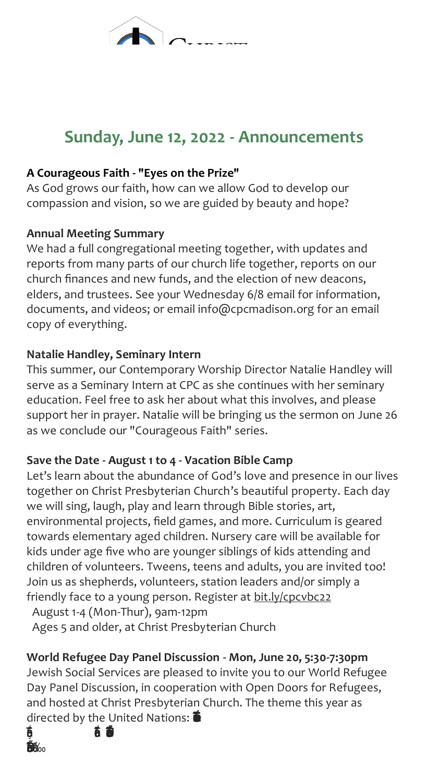#### **Sunday, June 12, 2022 - Announcements**

#### **A Courageous Faith - "Eyes on the Prize"**

As God grows our faith, how can we allow God to develop our compassion and vision, so we are guided by beauty and hope?

#### **Annual Meeting Summary**

We had a full congregational meeting together, with updates and reports from many parts of our church life together, reports on our church finances and new funds, and the election of new deacons, elders, and trustees. See your Wednesday 6/8 email for information, documents, and videos; or email info@cpcmadison.org for an email copy of everything.

#### **Natalie Handley, Seminary Intern**

This summer, our Contemporary Worship Director Natalie Handley will serve as a Seminary Intern at CPC as she continues with her seminary education. Feel free to ask her about what this involves, and please support her in prayer. Natalie will be bringing us the sermon on June 26 as we conclude our "Courageous Faith" series.

#### **Save the Date - August 1 to 4 - Vacation Bible Camp**

Let's learn about the abundance of God's love and presence in our lives together on Christ Presbyterian Church's beautiful property. Each day we will sing, laugh, play and learn through Bible stories, art, environmental projects, field games, and more. Curriculum is geared towards elementary aged children. Nursery care will be available for kids under age five who are younger siblings of kids attending and children of volunteers. Tweens, teens and adults, you are invited too! Join us as shepherds, volunteers, station leaders and/or simply a friendly face to a young person. Register at bit.ly/cpcvbc22 August 1-4 (Mon-Thur), 9am-12pm

Ages 5 and older, at Christ Presbyterian Church

#### **World Refugee Day Panel Discussion - Mon, June 20, 5:30-7:30pm**

Jewish Social Services are pleased to invite you to our World Refugee Day Panel Discussion, in cooperation with Open Doors for Refugees, and hosted at Christ Presbyterian Church. The theme this year as directed by the United Nations: